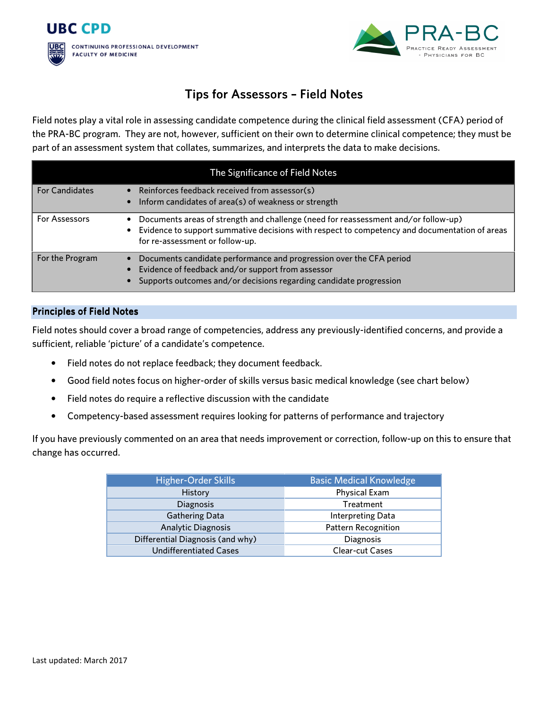



## Tips for Assessors - Field Notes

Field notes play a vital role in assessing candidate competence during the clinical field assessment (CFA) period of the PRA-BC program. They are not, however, sufficient on their own to determine clinical competence; they must be part of an assessment system that collates, summarizes, and interprets the data to make decisions.

| The Significance of Field Notes |                                                                                                                                                                                                                        |  |
|---------------------------------|------------------------------------------------------------------------------------------------------------------------------------------------------------------------------------------------------------------------|--|
| <b>For Candidates</b>           | Reinforces feedback received from assessor(s)<br>Inform candidates of area(s) of weakness or strength                                                                                                                  |  |
| For Assessors                   | Documents areas of strength and challenge (need for reassessment and/or follow-up)<br>Evidence to support summative decisions with respect to competency and documentation of areas<br>for re-assessment or follow-up. |  |
| For the Program                 | Documents candidate performance and progression over the CFA period<br>Evidence of feedback and/or support from assessor<br>Supports outcomes and/or decisions regarding candidate progression                         |  |

## **Principles of Field Notes**

Field notes should cover a broad range of competencies, address any previously-identified concerns, and provide a sufficient, reliable 'picture' of a candidate's competence.

- Field notes do not replace feedback; they document feedback.
- Good field notes focus on higher-order of skills versus basic medical knowledge (see chart below)
- Field notes do require a reflective discussion with the candidate
- Competency-based assessment requires looking for patterns of performance and trajectory

If you have previously commented on an area that needs improvement or correction, follow-up on this to ensure that change has occurred.

| <b>Higher-Order Skills</b>       | <b>Basic Medical Knowledge</b> |
|----------------------------------|--------------------------------|
| History                          | <b>Physical Exam</b>           |
| <b>Diagnosis</b>                 | Treatment                      |
| <b>Gathering Data</b>            | Interpreting Data              |
| <b>Analytic Diagnosis</b>        | <b>Pattern Recognition</b>     |
| Differential Diagnosis (and why) | <b>Diagnosis</b>               |
| <b>Undifferentiated Cases</b>    | <b>Clear-cut Cases</b>         |